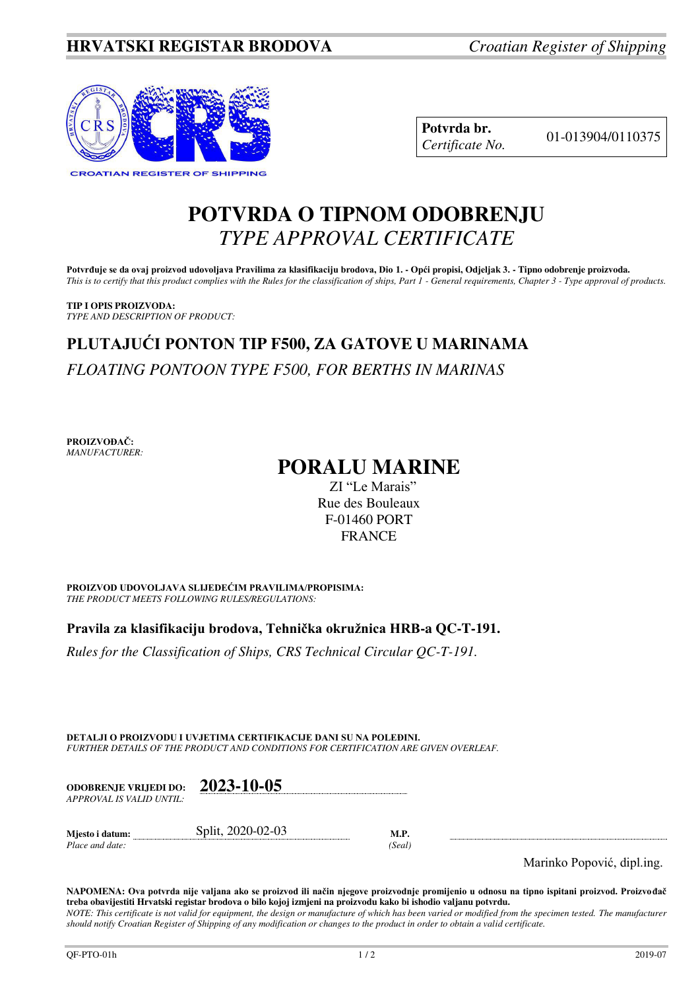

**Potvrda br.** 01-013904/0110375 *Certificate No.* 

### **POTVRDA O TIPNOM ODOBRENJU**  *TYPE APPROVAL CERTIFICATE*

**Potvrđuje se da ovaj proizvod udovoljava Pravilima za klasifikaciju brodova, Dio 1. - Opći propisi, Odjeljak 3. - Tipno odobrenje proizvoda.**  *This is to certify that this product complies with the Rules for the classification of ships, Part 1 - General requirements, Chapter 3 - Type approval of products.* 

**TIP I OPIS PROIZVODA:** *TYPE AND DESCRIPTION OF PRODUCT:* 

# **PLUTAJUĆI PONTON TIP F500, ZA GATOVE U MARINAMA**  *FLOATING PONTOON TYPE F500, FOR BERTHS IN MARINAS*

**PROIZVOĐAČ:** *MANUFACTURER:*

## **PORALU MARINE**

ZI "Le Marais" Rue des Bouleaux F-01460 PORT **FRANCE** 

**PROIZVOD UDOVOLJAVA SLIJEDEĆIM PRAVILIMA/PROPISIMA:** *THE PRODUCT MEETS FOLLOWING RULES/REGULATIONS:* 

**Pravila za klasifikaciju brodova, Tehnička okružnica HRB-a QC-T-191.** 

*Rules for the Classification of Ships, CRS Technical Circular QC-T-191.*

**DETALJI O PROIZVODU I UVJETIMA CERTIFIKACIJE DANI SU NA POLEĐINI.** *FURTHER DETAILS OF THE PRODUCT AND CONDITIONS FOR CERTIFICATION ARE GIVEN OVERLEAF.* 

| <b>ODOBRENJE VRLIEDI DO:</b><br>APPROVAL IS VALID UNTIL: | 2023-10-05        |      |  |
|----------------------------------------------------------|-------------------|------|--|
| Miesto i datum:                                          | Split, 2020-02-03 | M.P. |  |

*Place and date: (Seal)* 

Marinko Popović, dipl.ing.

**NAPOMENA: Ova potvrda nije valjana ako se proizvod ili način njegove proizvodnje promijenio u odnosu na tipno ispitani proizvod. Proizvođač treba obavijestiti Hrvatski registar brodova o bilo kojoj izmjeni na proizvodu kako bi ishodio valjanu potvrdu.**  *NOTE: This certificate is not valid for equipment, the design or manufacture of which has been varied or modified from the specimen tested. The manufacturer should notify Croatian Register of Shipping of any modification or changes to the product in order to obtain a valid certificate.*